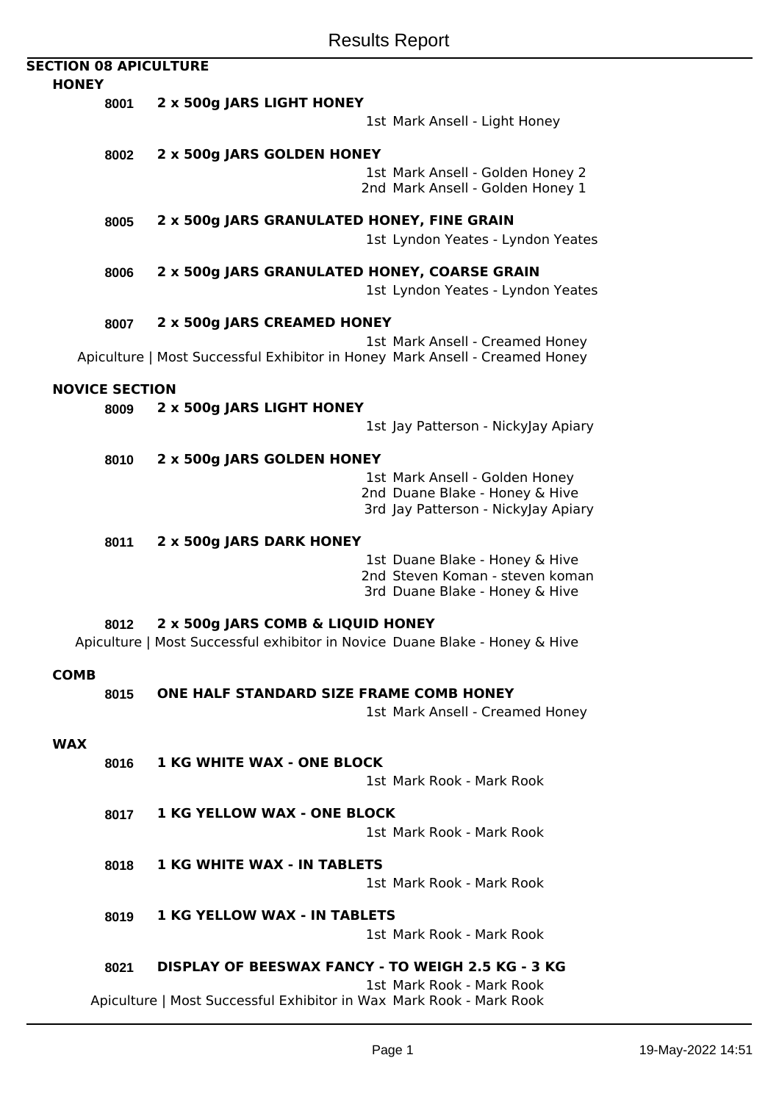| <b>SECTION 08 APICULTURE</b><br><b>HONEY</b> |                       |                                                                                                                |
|----------------------------------------------|-----------------------|----------------------------------------------------------------------------------------------------------------|
|                                              | 8001                  | 2 x 500g JARS LIGHT HONEY                                                                                      |
|                                              |                       | 1st Mark Ansell - Light Honey                                                                                  |
|                                              | 8002                  | 2 x 500g JARS GOLDEN HONEY                                                                                     |
|                                              |                       | 1st Mark Ansell - Golden Honey 2<br>2nd Mark Ansell - Golden Honey 1                                           |
|                                              | 8005                  | 2 x 500g JARS GRANULATED HONEY, FINE GRAIN                                                                     |
|                                              |                       | 1st Lyndon Yeates - Lyndon Yeates                                                                              |
|                                              | 8006                  | 2 x 500g JARS GRANULATED HONEY, COARSE GRAIN<br>1st Lyndon Yeates - Lyndon Yeates                              |
|                                              | 8007                  | 2 x 500g JARS CREAMED HONEY                                                                                    |
|                                              |                       | 1st Mark Ansell - Creamed Honey<br>Apiculture   Most Successful Exhibitor in Honey Mark Ansell - Creamed Honey |
|                                              | <b>NOVICE SECTION</b> |                                                                                                                |
|                                              | 8009                  | 2 x 500g JARS LIGHT HONEY                                                                                      |
|                                              |                       | 1st Jay Patterson - NickyJay Apiary                                                                            |
|                                              | 8010                  | 2 x 500g JARS GOLDEN HONEY                                                                                     |
|                                              |                       | 1st Mark Ansell - Golden Honey                                                                                 |
|                                              |                       | 2nd Duane Blake - Honey & Hive<br>3rd Jay Patterson - NickyJay Apiary                                          |
|                                              | 8011                  | 2 x 500g JARS DARK HONEY                                                                                       |
|                                              |                       | 1st Duane Blake - Honey & Hive                                                                                 |
|                                              |                       | 2nd Steven Koman - steven koman<br>3rd Duane Blake - Honey & Hive                                              |
|                                              | 8012                  | 2 x 500g JARS COMB & LIQUID HONEY                                                                              |
|                                              |                       | Apiculture   Most Successful exhibitor in Novice Duane Blake - Honey & Hive                                    |
| <b>COMB</b>                                  |                       |                                                                                                                |
|                                              | 8015                  | ONE HALF STANDARD SIZE FRAME COMB HONEY                                                                        |
|                                              |                       | 1st Mark Ansell - Creamed Honey                                                                                |
| <b>WAX</b>                                   |                       |                                                                                                                |
|                                              | 8016                  | <b>1 KG WHITE WAX - ONE BLOCK</b>                                                                              |
|                                              |                       | 1st Mark Rook - Mark Rook                                                                                      |
|                                              | 8017                  | <b>1 KG YELLOW WAX - ONE BLOCK</b>                                                                             |
|                                              |                       | 1st Mark Rook - Mark Rook                                                                                      |
|                                              | 8018                  | <b>1 KG WHITE WAX - IN TABLETS</b>                                                                             |
|                                              |                       | 1st Mark Rook - Mark Rook                                                                                      |
|                                              | 8019                  | <b>1 KG YELLOW WAX - IN TABLETS</b>                                                                            |
|                                              |                       | 1st Mark Rook - Mark Rook                                                                                      |

**8021 DISPLAY OF BEESWAX FANCY - TO WEIGH 2.5 KG - 3 KG**

1st Mark Rook - Mark Rook Apiculture | Most Successful Exhibitor in Wax Mark Rook - Mark Rook